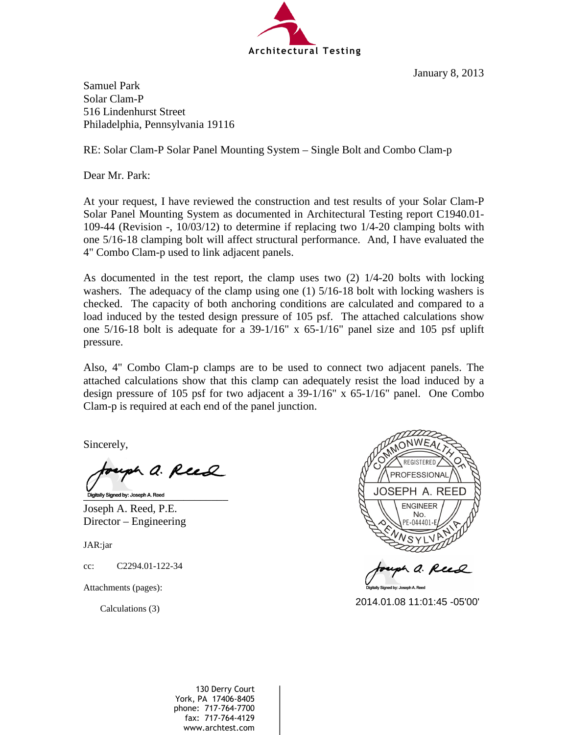

January 8, 2013

Samuel Park Solar Clam-P 516 Lindenhurst Street Philadelphia, Pennsylvania 19116

RE: Solar Clam-P Solar Panel Mounting System – Single Bolt and Combo Clam-p

Dear Mr. Park:

At your request, I have reviewed the construction and test results of your Solar Clam-P Solar Panel Mounting System as documented in Architectural Testing report C1940.01- 109-44 (Revision -, 10/03/12) to determine if replacing two 1/4-20 clamping bolts with one 5/16-18 clamping bolt will affect structural performance. And, I have evaluated the 4" Combo Clam-p used to link adjacent panels.

As documented in the test report, the clamp uses two (2) 1/4-20 bolts with locking washers. The adequacy of the clamp using one (1) 5/16-18 bolt with locking washers is checked. The capacity of both anchoring conditions are calculated and compared to a load induced by the tested design pressure of 105 psf. The attached calculations show one 5/16-18 bolt is adequate for a 39-1/16" x 65-1/16" panel size and 105 psf uplift pressure.

Also, 4" Combo Clam-p clamps are to be used to connect two adjacent panels. The attached calculations show that this clamp can adequately resist the load induced by a design pressure of 105 psf for two adjacent a 39-1/16" x 65-1/16" panel. One Combo Clam-p is required at each end of the panel junction.

Sincerely,

h a. Rud Digitally Signed by: Joseph A. Reed

Joseph A. Reed, P.E. Director – Engineering

JAR:jar

cc: C2294.01-122-34

Attachments (pages):

Calculations (3)



130 Derry Court York, PA 17406-8405 phone: 717-764-7700 fax: 717-764-4129 Calculations (3)<br>
2014.01.08 11:01:45 -05'00"<br>
2014.01.08 11:01:45 -05'00"<br>
2014.01.08 11:01:45 -05'00"<br>
2014.01.08 11:01:45 -05'00"<br>
2014.01:08 11:01:45 -05'00"<br>
2014.01:08 11:01:44 -05"<br>
2014.01:08 11:01:44 -05"<br>
2014.0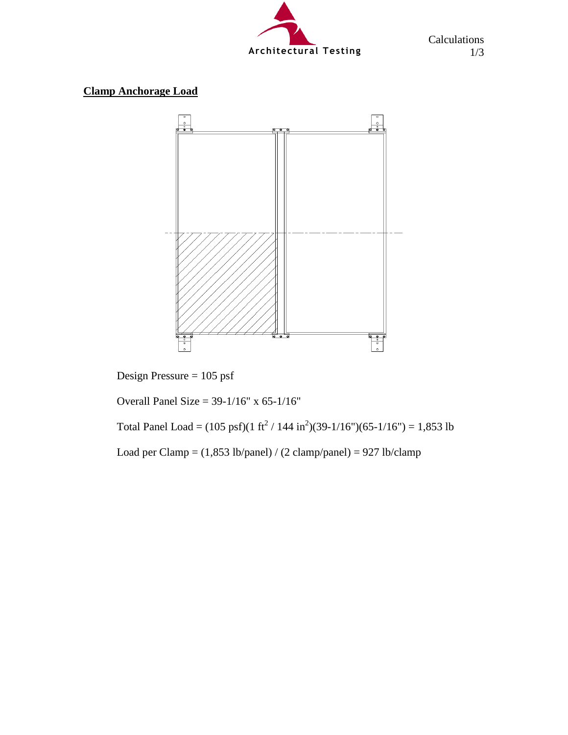

Calculations 1/3

## **Clamp Anchorage Load**



Design Pressure = 105 psf

Overall Panel Size = 39-1/16" x 65-1/16"

Total Panel Load =  $(105 \text{ psf})(1 \text{ ft}^2 / 144 \text{ in}^2)(39-1/16 \text{ m})(65-1/16 \text{ m}) = 1,853 \text{ lb}$ 

Load per Clamp =  $(1,853 \text{ lb/panel}) / (2 \text{ clamp/panel}) = 927 \text{ lb/clamp}$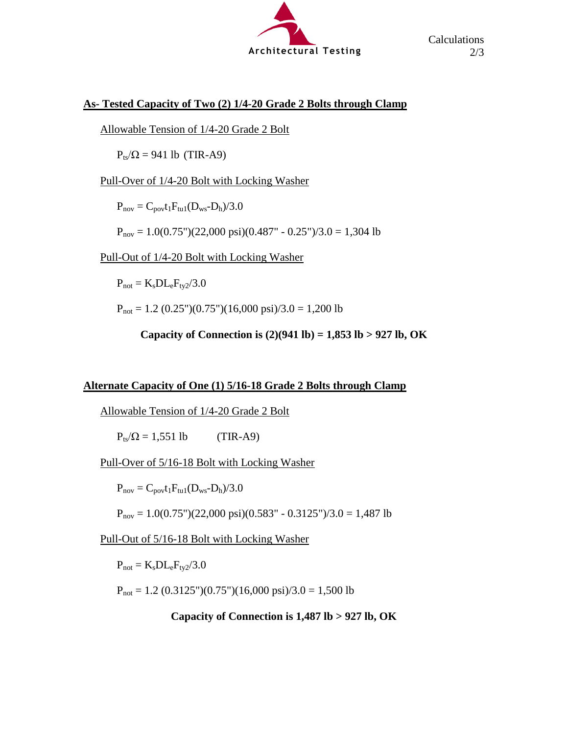

## **As- Tested Capacity of Two (2) 1/4-20 Grade 2 Bolts through Clamp**

Allowable Tension of 1/4-20 Grade 2 Bolt

 $P_{ts}/Ω = 941$  lb (TIR-A9)

Pull-Over of 1/4-20 Bolt with Locking Washer

 $P_{nov} = C_{pov}t_1F_{tu1}(D_{ws}-D_h)/3.0$ 

 $P_{nov} = 1.0(0.75'')(22,000 psi)(0.487'' - 0.25'')/3.0 = 1,304 lb$ 

Pull-Out of 1/4-20 Bolt with Locking Washer

 $P_{\text{not}} = K_s D L_e F_{\text{tv2}}/3.0$ 

 $P_{\text{not}} = 1.2 (0.25")(0.75")(16,000 \text{ psi})/3.0 = 1,200 \text{ lb}$ 

**Capacity of Connection is (2)(941 lb) = 1,853 lb > 927 lb, OK** 

## **Alternate Capacity of One (1) 5/16-18 Grade 2 Bolts through Clamp**

Allowable Tension of 1/4-20 Grade 2 Bolt

 $P_{ts}/\Omega = 1,551$  lb (TIR-A9)

Pull-Over of 5/16-18 Bolt with Locking Washer

 $P_{nov} = C_{pov}t_1F_{tu1}(D_{ws}-D_h)/3.0$ 

 $P_{nov} = 1.0(0.75")$ (22,000 psi)(0.583" - 0.3125")/3.0 = 1,487 lb

Pull-Out of 5/16-18 Bolt with Locking Washer

 $P_{\text{not}} = K_s D L_e F_{\text{tv2}}/3.0$ 

 $P_{\text{not}} = 1.2$  (0.3125")(0.75")(16,000 psi)/3.0 = 1,500 lb

**Capacity of Connection is 1,487 lb > 927 lb, OK**